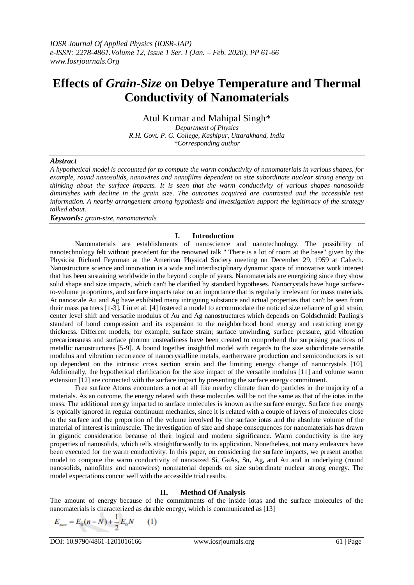# **Effects of** *Grain-Size* **on Debye Temperature and Thermal Conductivity of Nanomaterials**

Atul Kumar and Mahipal Singh\*

*Department of Physics R.H. Govt. P. G. College, Kashipur, Uttarakhand, India \*Corresponding author*

## *Abstract*

*A hypothetical model is accounted for to compute the warm conductivity of nanomaterials in various shapes, for example, round nanosolids, nanowires and nanofilms dependent on size subordinate nuclear strong energy on thinking about the surface impacts. It is seen that the warm conductivity of various shapes nanosolids diminishes with decline in the grain size. The outcomes acquired are contrasted and the accessible test information. A nearby arrangement among hypothesis and investigation support the legitimacy of the strategy talked about.*

*Keywords: grain-size, nanomaterials*

#### **I. Introduction**

Nanomaterials are establishments of nanoscience and nanotechnology. The possibility of nanotechnology felt without precedent for the renowned talk " There is a lot of room at the base" given by the Physicist Richard Feynman at the American Physical Society meeting on December 29, 1959 at Caltech. Nanostructure science and innovation is a wide and interdisciplinary dynamic space of innovative work interest that has been sustaining worldwide in the beyond couple of years. Nanomaterials are energizing since they show solid shape and size impacts, which can't be clarified by standard hypotheses. Nanocrystals have huge surfaceto-volume proportions, and surface impacts take on an importance that is regularly irrelevant for mass materials. At nanoscale Au and Ag have exhibited many intriguing substance and actual properties that can't be seen from their mass partners [1-3]. Liu et al. [4] fostered a model to accommodate the noticed size reliance of grid strain, center level shift and versatile modulus of Au and Ag nanostructures which depends on Goldschmidt Pauling's standard of bond compression and its expansion to the neighborhood bond energy and restricting energy thickness. Different models, for example, surface strain; surface unwinding, surface pressure, grid vibration precariousness and surface phonon unsteadiness have been created to comprehend the surprising practices of metallic nanostructures [5-9]. A bound together insightful model with regards to the size subordinate versatile modulus and vibration recurrence of nanocrystalline metals, earthenware production and semiconductors is set up dependent on the intrinsic cross section strain and the limiting energy change of nanocrystals [10]. Additionally, the hypothetical clarification for the size impact of the versatile modulus [11] and volume warm extension [12] are connected with the surface impact by presenting the surface energy commitment.

Free surface Atoms encounters a not at all like nearby climate than do particles in the majority of a materials. As an outcome, the energy related with these molecules will be not the same as that of the iotas in the mass. The additional energy imparted to surface molecules is known as the surface energy. Surface free energy is typically ignored in regular continuum mechanics, since it is related with a couple of layers of molecules close to the surface and the proportion of the volume involved by the surface iotas and the absolute volume of the material of interest is minuscule. The investigation of size and shape consequences for nanomaterials has drawn in gigantic consideration because of their logical and modern significance. Warm conductivity is the key properties of nanosolids, which tells straightforwardly to its application. Nonetheless, not many endeavors have been executed for the warm conductivity. In this paper, on considering the surface impacts, we present another model to compute the warm conductivity of nanosized Si, GaAs, Sn, Ag, and Au and in underlying (round nanosolids, nanofilms and nanowires) nonmaterial depends on size subordinate nuclear strong energy. The model expectations concur well with the accessible trial results.

## **II. Method Of Analysis**

The amount of energy because of the commitments of the inside iotas and the surface molecules of the nanomaterials is characterized as durable energy, which is communicated as [13]

$$
E_{sum} = E_0(n - N) + \frac{1}{2}E_0N \qquad (1)
$$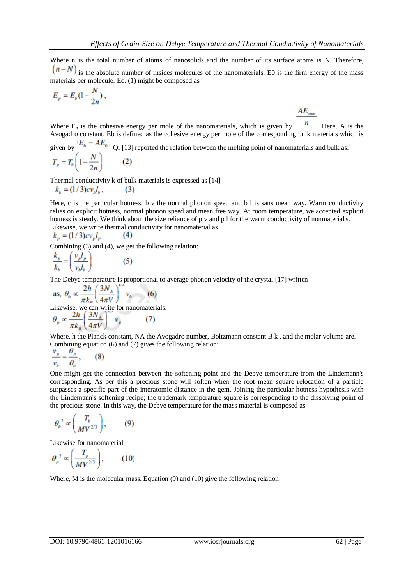$AE_{\ldots}$ 

Where n is the total number of atoms of nanosolids and the number of its surface atoms is N. Therefore,  $(n-N)$  is the absolute number of insides molecules of the nanomaterials. E0 is the firm energy of the mass materials per molecule. Eq. (1) might be composed as

$$
E_p = E_b \left(1 - \frac{N}{2n}\right),
$$

Where  $E_p$  is the cohesive energy per mole of the nanomaterials, which is given by  $\blacksquare$  Here, A is the Avogadro constant. Eb is defined as the cohesive energy per mole of the corresponding bulk materials which is

given by  $E_b = AE_0$ . Qi [13] reported the relation between the melting point of nanomaterials and bulk as:<br> $T_p = T_b \left(1 - \frac{N}{2n}\right)$  (2)

Thermal conductivity k of bulk materials is expressed as [14]

$$
k_b = (1/3)c v_b l_b, \qquad (3)
$$

Here, c is the particular hotness, b v the normal phonon speed and b l is sans mean way. Warm conductivity relies on explicit hotness, normal phonon speed and mean free way. At room temperature, we accepted explicit hotness is steady. We think about the size reliance of p v and p l for the warm conductivity of nonmaterial's. Likewise, we write thermal conductivity for nanomaterial as

$$
k_p = (1/3)cv_p l_p \tag{4}
$$

Combining (3) and (4), we get the following relation:

$$
\frac{k_p}{k_b} = \left(\frac{v_p l_p}{v_b l_b}\right) \tag{5}
$$

The Debye temperature is proportional to average phonon velocity of the crystal [17] written

as, 
$$
\theta_b \propto \frac{2h}{\pi k_B} \left(\frac{3N_A}{4\pi V}\right)^{1/2} v_b
$$
 (6)  
Likewise, we can write for nonometerials:  
 $\theta_p \propto \frac{2h}{\pi k_B} \left(\frac{3N_A}{4\pi V}\right)^{1/2} v_p$  (7)

Where, h the Planck constant, NA the Avogadro number, Boltzmann constant B k, and the molar volume are. Combining equation (6) and (7) gives the following relation:

$$
\frac{v_p}{v_b} = \frac{\theta_p}{\theta_b},\qquad(8)
$$

One might get the connection between the softening point and the Debye temperature from the Lindemann's corresponding. As per this a precious stone will soften when the root mean square relocation of a particle surpasses a specific part of the interatomic distance in the gem. Joining the particular hotness hypothesis with the Lindemann's softening recipe; the trademark temperature square is corresponding to the dissolving point of the precious stone. In this way, the Debye temperature for the mass material is composed as

$$
\theta_b^2 \propto \left(\frac{T_b}{MV^{2/3}}\right), \qquad (9)
$$

Likewise for nanomaterial

$$
\theta_p^2 \propto \left(\frac{T_p}{MV^{2/3}}\right), \qquad (10)
$$

Where, M is the molecular mass. Equation (9) and (10) give the following relation: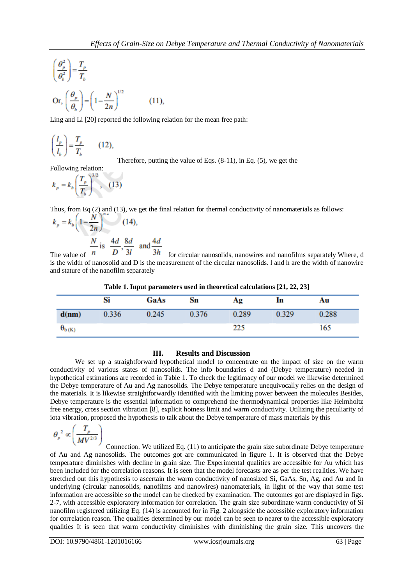$$
\left(\frac{\theta_p^2}{\theta_b^2}\right) = \frac{T_p}{T_b}
$$
\n
$$
\text{Or, } \left(\frac{\theta_p}{\theta_b}\right) = \left(1 - \frac{N}{2n}\right)^{1/2} \tag{11},
$$

Ling and Li [20] reported the following relation for the mean free path:

$$
\left(\frac{l_p}{l_b}\right) = \frac{T_p}{T_b} \qquad (12),
$$

Therefore, putting the value of Eqs. (8-11), in Eq. (5), we get the

Following relation:

$$
k_p = k_b \left(\frac{T_p}{T_b}\right)^{3/2}, \quad (13)
$$

Thus, from Eq (2) and (13), we get the final relation for thermal conductivity of nanomaterials as follows:

$$
k_p = k_b \left( 1 - \frac{N}{2n} \right) \qquad (14),
$$
  

$$
\frac{N}{2} \text{ is } \frac{4d}{2} \cdot \frac{8d}{2} \text{ and } \frac{4d}{2}
$$

The value of  $\overline{n}$  is  $\overline{D}$ ,  $\overline{3l}$  and  $\overline{3h}$  for circular nanosolids, nanowires and nanofilms separately Where, d is the width of nanosolid and D is the measurement of the circular nanosolids. l and h are the width of nanowire and stature of the nanofilm separately

|  |  | Table 1. Input parameters used in theoretical calculations [21, 22, 23] |  |  |
|--|--|-------------------------------------------------------------------------|--|--|
|  |  |                                                                         |  |  |

|                 | Si    | GaAs  | Sn    | Ag    | In    | Au    |  |
|-----------------|-------|-------|-------|-------|-------|-------|--|
| d(nm)           | 0.336 | 0.245 | 0.376 | 0.289 | 0.329 | 0.288 |  |
| $\theta_{b(K)}$ |       |       |       | ລລະ   |       | 165   |  |

# **III. Results and Discussion**

We set up a straightforward hypothetical model to concentrate on the impact of size on the warm conductivity of various states of nanosolids. The info boundaries d and (Debye temperature) needed in hypothetical estimations are recorded in Table 1. To check the legitimacy of our model we likewise determined the Debye temperature of Au and Ag nanosolids. The Debye temperature unequivocally relies on the design of the materials. It is likewise straightforwardly identified with the limiting power between the molecules Besides, Debye temperature is the essential information to comprehend the thermodynamical properties like Helmholtz free energy, cross section vibration [8], explicit hotness limit and warm conductivity. Utilizing the peculiarity of iota vibration, proposed the hypothesis to talk about the Debye temperature of mass materials by this

$$
\theta_p^2 \propto \left(\frac{T_p}{MV^{2/3}}\right)
$$

Connection. We utilized Eq. (11) to anticipate the grain size subordinate Debye temperature of Au and Ag nanosolids. The outcomes got are communicated in figure 1. It is observed that the Debye temperature diminishes with decline in grain size. The Experimental qualities are accessible for Au which has been included for the correlation reasons. It is seen that the model forecasts are as per the test realities. We have stretched out this hypothesis to ascertain the warm conductivity of nanosized Si, GaAs, Sn, Ag, and Au and In underlying (circular nanosolids, nanofilms and nanowires) nanomaterials, in light of the way that some test information are accessible so the model can be checked by examination. The outcomes got are displayed in figs. 2-7, with accessible exploratory information for correlation. The grain size subordinate warm conductivity of Si nanofilm registered utilizing Eq. (14) is accounted for in Fig. 2 alongside the accessible exploratory information for correlation reason. The qualities determined by our model can be seen to nearer to the accessible exploratory qualities It is seen that warm conductivity diminishes with diminishing the grain size. This uncovers the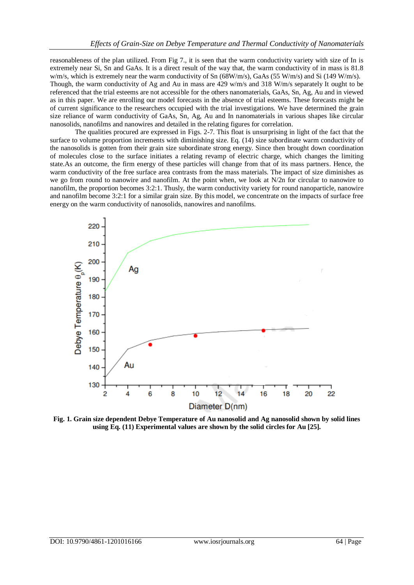reasonableness of the plan utilized. From Fig 7., it is seen that the warm conductivity variety with size of In is extremely near Si, Sn and GaAs. It is a direct result of the way that, the warm conductivity of in mass is 81.8 w/m/s, which is extremely near the warm conductivity of Sn (68W/m/s), GaAs (55 W/m/s) and Si (149 W/m/s). Though, the warm conductivity of Ag and Au in mass are 429 w/m/s and 318 W/m/s separately It ought to be referenced that the trial esteems are not accessible for the others nanomaterials, GaAs, Sn, Ag, Au and in viewed as in this paper. We are enrolling our model forecasts in the absence of trial esteems. These forecasts might be of current significance to the researchers occupied with the trial investigations. We have determined the grain size reliance of warm conductivity of GaAs, Sn, Ag, Au and In nanomaterials in various shapes like circular nanosolids, nanofilms and nanowires and detailed in the relating figures for correlation.

The qualities procured are expressed in Figs. 2-7. This float is unsurprising in light of the fact that the surface to volume proportion increments with diminishing size. Eq. (14) size subordinate warm conductivity of the nanosolids is gotten from their grain size subordinate strong energy. Since then brought down coordination of molecules close to the surface initiates a relating revamp of electric charge, which changes the limiting state.As an outcome, the firm energy of these particles will change from that of its mass partners. Hence, the warm conductivity of the free surface area contrasts from the mass materials. The impact of size diminishes as we go from round to nanowire and nanofilm. At the point when, we look at N/2n for circular to nanowire to nanofilm, the proportion becomes 3:2:1. Thusly, the warm conductivity variety for round nanoparticle, nanowire and nanofilm become 3:2:1 for a similar grain size. By this model, we concentrate on the impacts of surface free energy on the warm conductivity of nanosolids, nanowires and nanofilms.



**Fig. 1. Grain size dependent Debye Temperature of Au nanosolid and Ag nanosolid shown by solid lines using Eq. (11) Experimental values are shown by the solid circles for Au [25].**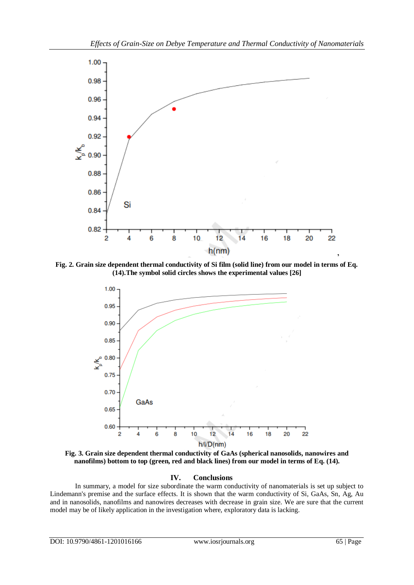

**Fig. 2. Grain size dependent thermal conductivity of Si film (solid line) from our model in terms of Eq. (14).The symbol solid circles shows the experimental values [26]**



**Fig. 3. Grain size dependent thermal conductivity of GaAs (spherical nanosolids, nanowires and nanofilms) bottom to top (green, red and black lines) from our model in terms of Eq. (14).**

# **IV. Conclusions**

In summary, a model for size subordinate the warm conductivity of nanomaterials is set up subject to Lindemann's premise and the surface effects. It is shown that the warm conductivity of Si, GaAs, Sn, Ag, Au and in nanosolids, nanofilms and nanowires decreases with decrease in grain size. We are sure that the current model may be of likely application in the investigation where, exploratory data is lacking.